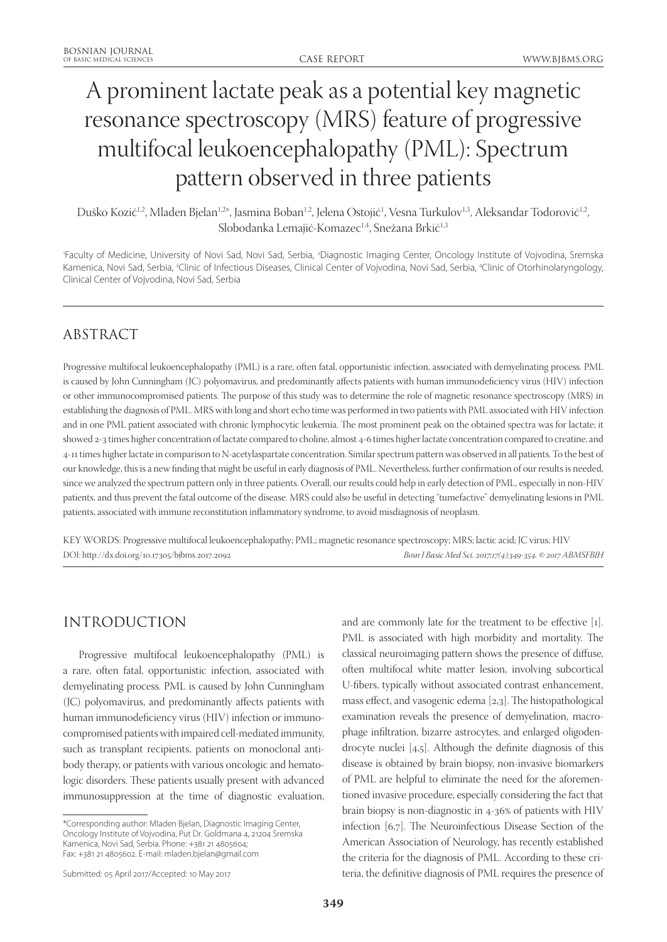# A prominent lactate peak as a potential key magnetic resonance spectroscopy (MRS) feature of progressive multifocal leukoencephalopathy (PML): Spectrum pattern observed in three patients

Duško Kozić<sup>1,2</sup>, Mladen Bjelan<sup>1,2\*</sup>, Jasmina Boban<sup>1,2</sup>, Jelena Ostojić<sup>1</sup>, Vesna Turkulov<sup>1,3</sup>, Aleksandar Todorović<sup>1,2</sup>, Slobodanka Lemajić-Komazec<sup>1,4</sup>, Snežana Brkić<sup>1,3</sup>

'Faculty of Medicine, University of Novi Sad, Novi Sad, Serbia, <sup>2</sup>Diagnostic Imaging Center, Oncology Institute of Vojvodina, Sremska Kamenica, Novi Sad, Serbia, 3 Clinic of Infectious Diseases, Clinical Center of Vojvodina, Novi Sad, Serbia, 4 Clinic of Otorhinolaryngology, Clinical Center of Vojvodina, Novi Sad, Serbia

# ABSTRACT

Progressive multifocal leukoencephalopathy (PML) is a rare, often fatal, opportunistic infection, associated with demyelinating process. PML is caused by John Cunningham (JC) polyomavirus, and predominantly affects patients with human immunodeficiency virus (HIV) infection or other immunocompromised patients. The purpose of this study was to determine the role of magnetic resonance spectroscopy (MRS) in establishing the diagnosis of PML. MRS with long and short echo time was performed in two patients with PML associated with HIV infection and in one PML patient associated with chronic lymphocytic leukemia. The most prominent peak on the obtained spectra was for lactate; it showed 2-3 times higher concentration of lactate compared to choline, almost 4-6 times higher lactate concentration compared to creatine, and 4-11 times higher lactate in comparison to N-acetylaspartate concentration. Similar spectrum pattern was observed in all patients. To the best of our knowledge, this is a new finding that might be useful in early diagnosis of PML. Nevertheless, further confirmation of our results is needed, since we analyzed the spectrum pattern only in three patients. Overall, our results could help in early detection of PML, especially in non-HIV patients, and thus prevent the fatal outcome of the disease. MRS could also be useful in detecting "tumefactive" demyelinating lesions in PML patients, associated with immune reconstitution inflammatory syndrome, to avoid misdiagnosis of neoplasm.

KEY WORDS: Progressive multifocal leukoencephalopathy; PML; magnetic resonance spectroscopy; MRS; lactic acid; JC virus; HIV DOI: http://dx.doi.org/10.17305/bjbms.2017.2092 *Bosn J Basic Med Sci. 2017;17(4):349-354. © 2017 ABMSFBIH*

# INTRODUCTION

Progressive multifocal leukoencephalopathy (PML) is a rare, often fatal, opportunistic infection, associated with demyelinating process. PML is caused by John Cunningham (JC) polyomavirus, and predominantly affects patients with human immunodeficiency virus (HIV) infection or immunocompromised patients with impaired cell-mediated immunity, such as transplant recipients, patients on monoclonal antibody therapy, or patients with various oncologic and hematologic disorders. These patients usually present with advanced immunosuppression at the time of diagnostic evaluation, and are commonly late for the treatment to be effective [1]. PML is associated with high morbidity and mortality. The classical neuroimaging pattern shows the presence of diffuse, often multifocal white matter lesion, involving subcortical U-fibers, typically without associated contrast enhancement, mass effect, and vasogenic edema [2,3]. The histopathological examination reveals the presence of demyelination, macrophage infiltration, bizarre astrocytes, and enlarged oligodendrocyte nuclei [4,5]. Although the definite diagnosis of this disease is obtained by brain biopsy, non-invasive biomarkers of PML are helpful to eliminate the need for the aforementioned invasive procedure, especially considering the fact that brain biopsy is non-diagnostic in 4-36% of patients with HIV infection [6,7]. The Neuroinfectious Disease Section of the American Association of Neurology, has recently established the criteria for the diagnosis of PML. According to these criteria, the definitive diagnosis of PML requires the presence of

<sup>\*</sup>Corresponding author: Mladen Bjelan, Diagnostic Imaging Center, Oncology Institute of Vojvodina, Put Dr. Goldmana 4, 21204 Sremska Kamenica, Novi Sad, Serbia. Phone: +381 21 4805604; Fax: +381 21 4805602. E-mail: mladen.bjelan@gmail.com

Submitted: 05 April 2017/Accepted: 10 May 2017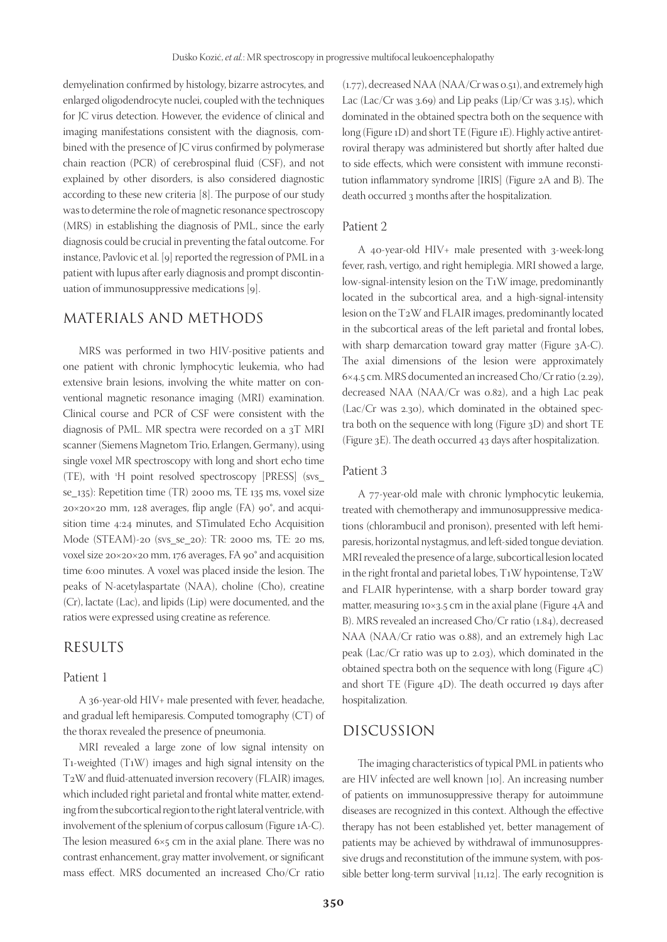demyelination confirmed by histology, bizarre astrocytes, and enlarged oligodendrocyte nuclei, coupled with the techniques for JC virus detection. However, the evidence of clinical and imaging manifestations consistent with the diagnosis, combined with the presence of JC virus confirmed by polymerase chain reaction (PCR) of cerebrospinal fluid (CSF), and not explained by other disorders, is also considered diagnostic according to these new criteria [8]. The purpose of our study was to determine the role of magnetic resonance spectroscopy (MRS) in establishing the diagnosis of PML, since the early diagnosis could be crucial in preventing the fatal outcome. For instance, Pavlovic et al. [9] reported the regression of PML in a patient with lupus after early diagnosis and prompt discontinuation of immunosuppressive medications [9].

### MATERIALS AND METHODS

MRS was performed in two HIV-positive patients and one patient with chronic lymphocytic leukemia, who had extensive brain lesions, involving the white matter on conventional magnetic resonance imaging (MRI) examination. Clinical course and PCR of CSF were consistent with the diagnosis of PML. MR spectra were recorded on a 3T MRI scanner (Siemens Magnetom Trio, Erlangen, Germany), using single voxel MR spectroscopy with long and short echo time (TE), with <sup>1</sup> H point resolved spectroscopy [PRESS] (svs\_ se\_135): Repetition time (TR) 2000 ms, TE 135 ms, voxel size 20×20×20 mm, 128 averages, flip angle (FA) 90°, and acquisition time 4:24 minutes, and STimulated Echo Acquisition Mode (STEAM)-20 (svs\_se\_20): TR: 2000 ms, TE: 20 ms, voxel size 20×20×20 mm, 176 averages, FA 90° and acquisition time 6:00 minutes. A voxel was placed inside the lesion. The peaks of N-acetylaspartate (NAA), choline (Cho), creatine (Cr), lactate (Lac), and lipids (Lip) were documented, and the ratios were expressed using creatine as reference.

#### RESULTS

#### Patient 1

A 36-year-old HIV+ male presented with fever, headache, and gradual left hemiparesis. Computed tomography (CT) of the thorax revealed the presence of pneumonia.

MRI revealed a large zone of low signal intensity on T1-weighted (T1W) images and high signal intensity on the T2W and fluid-attenuated inversion recovery (FLAIR) images, which included right parietal and frontal white matter, extending from the subcortical region to the right lateral ventricle, with involvement of the splenium of corpus callosum (Figure 1A-C). The lesion measured 6×5 cm in the axial plane. There was no contrast enhancement, gray matter involvement, or significant mass effect. MRS documented an increased Cho/Cr ratio

(1.77), decreased NAA (NAA/Cr was 0.51), and extremely high Lac (Lac/Cr was 3.69) and Lip peaks (Lip/Cr was 3.15), which dominated in the obtained spectra both on the sequence with long (Figure 1D) and short TE (Figure 1E). Highly active antiretroviral therapy was administered but shortly after halted due to side effects, which were consistent with immune reconstitution inflammatory syndrome [IRIS] (Figure 2A and B). The death occurred 3 months after the hospitalization.

#### Patient 2

A 40-year-old HIV+ male presented with 3-week-long fever, rash, vertigo, and right hemiplegia. MRI showed a large, low-signal-intensity lesion on the T1W image, predominantly located in the subcortical area, and a high-signal-intensity lesion on the T2W and FLAIR images, predominantly located in the subcortical areas of the left parietal and frontal lobes, with sharp demarcation toward gray matter (Figure 3A-C). The axial dimensions of the lesion were approximately 6×4.5 cm. MRS documented an increased Cho/Cr ratio (2.29), decreased NAA (NAA/Cr was 0.82), and a high Lac peak (Lac/Cr was 2.30), which dominated in the obtained spectra both on the sequence with long (Figure 3D) and short TE (Figure 3E). The death occurred 43 days after hospitalization.

#### Patient 3

A 77-year-old male with chronic lymphocytic leukemia, treated with chemotherapy and immunosuppressive medications (chlorambucil and pronison), presented with left hemiparesis, horizontal nystagmus, and left-sided tongue deviation. MRI revealed the presence of a large, subcortical lesion located in the right frontal and parietal lobes, T1W hypointense, T2W and FLAIR hyperintense, with a sharp border toward gray matter, measuring 10×3.5 cm in the axial plane (Figure 4A and B). MRS revealed an increased Cho/Cr ratio (1.84), decreased NAA (NAA/Cr ratio was 0.88), and an extremely high Lac peak (Lac/Cr ratio was up to 2.03), which dominated in the obtained spectra both on the sequence with long (Figure 4C) and short TE (Figure 4D). The death occurred 19 days after hospitalization.

#### DISCUSSION

The imaging characteristics of typical PML in patients who are HIV infected are well known [10]. An increasing number of patients on immunosuppressive therapy for autoimmune diseases are recognized in this context. Although the effective therapy has not been established yet, better management of patients may be achieved by withdrawal of immunosuppressive drugs and reconstitution of the immune system, with possible better long-term survival [11,12]. The early recognition is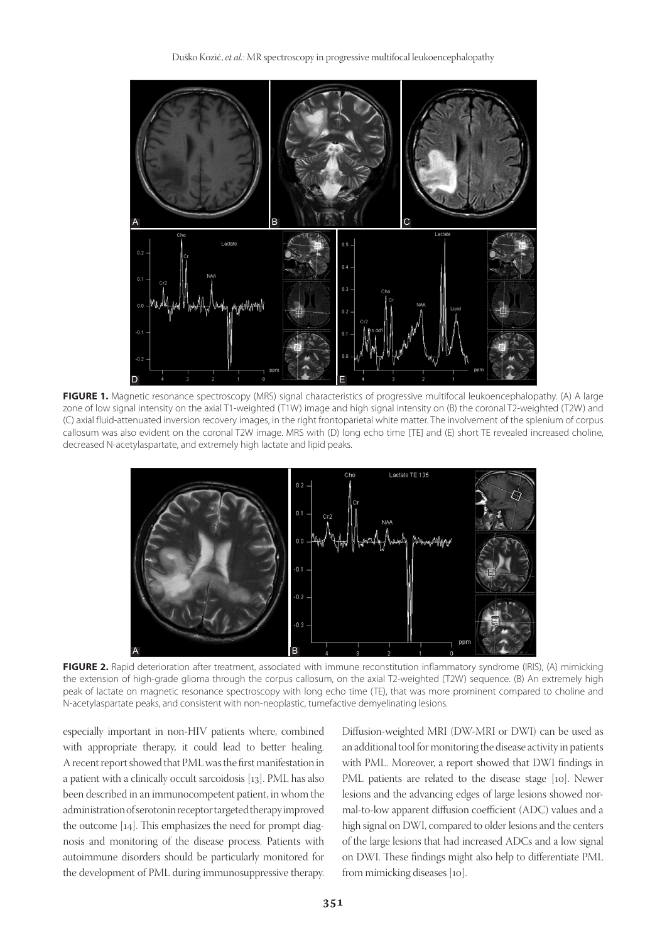

FIGURE 1. Magnetic resonance spectroscopy (MRS) signal characteristics of progressive multifocal leukoencephalopathy. (A) A large zone of low signal intensity on the axial T1-weighted (T1W) image and high signal intensity on (B) the coronal T2-weighted (T2W) and (C) axial fluid-attenuated inversion recovery images, in the right frontoparietal white matter. The involvement of the splenium of corpus callosum was also evident on the coronal T2W image. MRS with (D) long echo time [TE] and (E) short TE revealed increased choline, decreased N-acetylaspartate, and extremely high lactate and lipid peaks.



**FIGURE 2.** Rapid deterioration after treatment, associated with immune reconstitution inflammatory syndrome (IRIS), (A) mimicking the extension of high-grade glioma through the corpus callosum, on the axial T2-weighted (T2W) sequence. (B) An extremely high peak of lactate on magnetic resonance spectroscopy with long echo time (TE), that was more prominent compared to choline and N-acetylaspartate peaks, and consistent with non-neoplastic, tumefactive demyelinating lesions.

especially important in non-HIV patients where, combined with appropriate therapy, it could lead to better healing. A recent report showed that PML was the first manifestation in a patient with a clinically occult sarcoidosis [13]. PML has also been described in an immunocompetent patient, in whom the administration of serotonin receptor targeted therapy improved the outcome [14]. This emphasizes the need for prompt diagnosis and monitoring of the disease process. Patients with autoimmune disorders should be particularly monitored for the development of PML during immunosuppressive therapy.

Diffusion-weighted MRI (DW-MRI or DWI) can be used as an additional tool for monitoring the disease activity in patients with PML. Moreover, a report showed that DWI findings in PML patients are related to the disease stage [10]. Newer lesions and the advancing edges of large lesions showed normal-to-low apparent diffusion coefficient (ADC) values and a high signal on DWI, compared to older lesions and the centers of the large lesions that had increased ADCs and a low signal on DWI. These findings might also help to differentiate PML from mimicking diseases [10].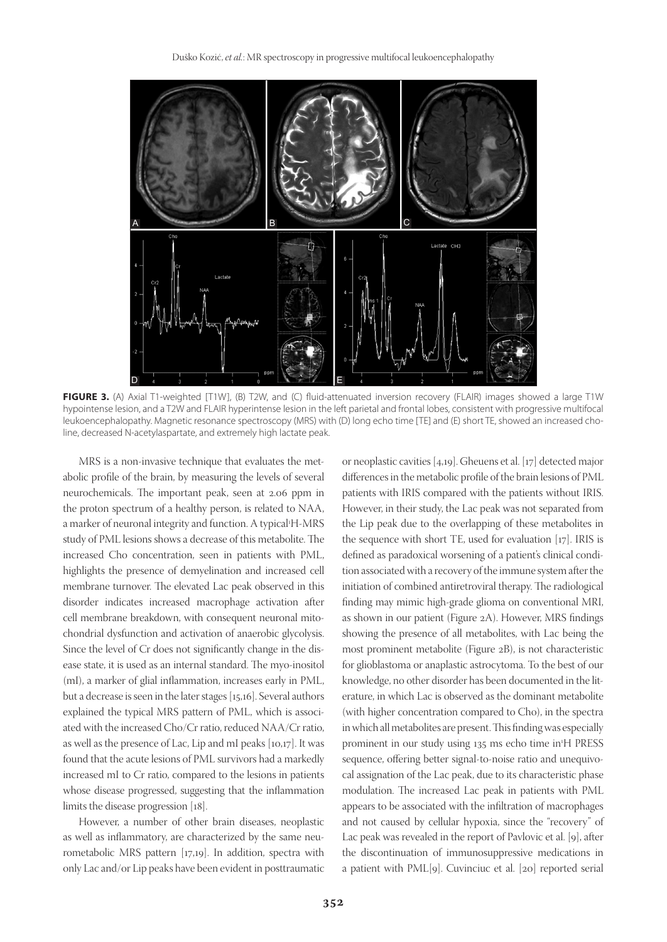

FIGURE 3. (A) Axial T1-weighted [T1W], (B) T2W, and (C) fluid-attenuated inversion recovery (FLAIR) images showed a large T1W hypointense lesion, and a T2W and FLAIR hyperintense lesion in the left parietal and frontal lobes, consistent with progressive multifocal leukoencephalopathy. Magnetic resonance spectroscopy (MRS) with (D) long echo time [TE] and (E) short TE, showed an increased choline, decreased N-acetylaspartate, and extremely high lactate peak.

MRS is a non-invasive technique that evaluates the metabolic profile of the brain, by measuring the levels of several neurochemicals. The important peak, seen at 2.06 ppm in the proton spectrum of a healthy person, is related to NAA, a marker of neuronal integrity and function. A typical<sup>1</sup>H-MRS study of PML lesions shows a decrease of this metabolite. The increased Cho concentration, seen in patients with PML, highlights the presence of demyelination and increased cell membrane turnover. The elevated Lac peak observed in this disorder indicates increased macrophage activation after cell membrane breakdown, with consequent neuronal mitochondrial dysfunction and activation of anaerobic glycolysis. Since the level of Cr does not significantly change in the disease state, it is used as an internal standard. The myo-inositol (mI), a marker of glial inflammation, increases early in PML, but a decrease is seen in the later stages [15,16]. Several authors explained the typical MRS pattern of PML, which is associated with the increased Cho/Cr ratio, reduced NAA/Cr ratio, as well as the presence of Lac, Lip and mI peaks [10,17]. It was found that the acute lesions of PML survivors had a markedly increased mI to Cr ratio, compared to the lesions in patients whose disease progressed, suggesting that the inflammation limits the disease progression [18].

However, a number of other brain diseases, neoplastic as well as inflammatory, are characterized by the same neurometabolic MRS pattern [17,19]. In addition, spectra with only Lac and/or Lip peaks have been evident in posttraumatic

or neoplastic cavities [4,19]. Gheuens et al. [17] detected major differences in the metabolic profile of the brain lesions of PML patients with IRIS compared with the patients without IRIS. However, in their study, the Lac peak was not separated from the Lip peak due to the overlapping of these metabolites in the sequence with short TE, used for evaluation [17]. IRIS is defined as paradoxical worsening of a patient's clinical condition associated with a recovery of the immune system after the initiation of combined antiretroviral therapy. The radiological finding may mimic high-grade glioma on conventional MRI, as shown in our patient (Figure 2A). However, MRS findings showing the presence of all metabolites, with Lac being the most prominent metabolite (Figure 2B), is not characteristic for glioblastoma or anaplastic astrocytoma. To the best of our knowledge, no other disorder has been documented in the literature, in which Lac is observed as the dominant metabolite (with higher concentration compared to Cho), in the spectra in which all metabolites are present. This finding was especially prominent in our study using 135 ms echo time in<sup>1</sup>H PRESS sequence, offering better signal-to-noise ratio and unequivocal assignation of the Lac peak, due to its characteristic phase modulation. The increased Lac peak in patients with PML appears to be associated with the infiltration of macrophages and not caused by cellular hypoxia, since the "recovery" of Lac peak was revealed in the report of Pavlovic et al. [9], after the discontinuation of immunosuppressive medications in a patient with PML[9]. Cuvinciuc et al. [20] reported serial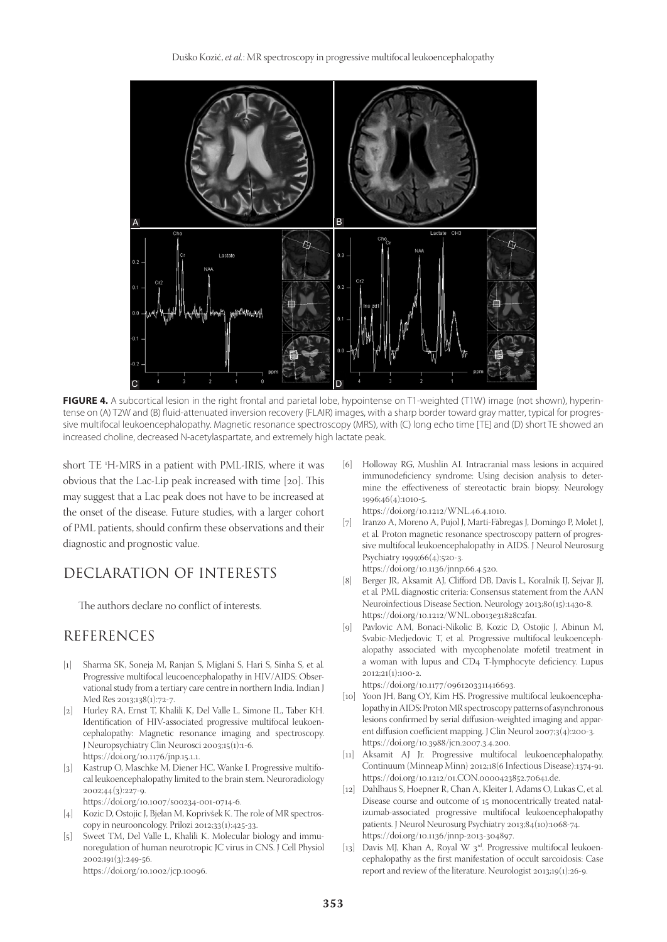Duško Kozić, *et al.*: MR spectroscopy in progressive multifocal leukoencephalopathy



**FIGURE 4.** A subcortical lesion in the right frontal and parietal lobe, hypointense on T1-weighted (T1W) image (not shown), hyperintense on (A) T2W and (B) fluid-attenuated inversion recovery (FLAIR) images, with a sharp border toward gray matter, typical for progressive multifocal leukoencephalopathy. Magnetic resonance spectroscopy (MRS), with (C) long echo time [TE] and (D) short TE showed an increased choline, decreased N-acetylaspartate, and extremely high lactate peak.

short TE 1 H-MRS in a patient with PML-IRIS, where it was obvious that the Lac-Lip peak increased with time [20]. This may suggest that a Lac peak does not have to be increased at the onset of the disease. Future studies, with a larger cohort of PML patients, should confirm these observations and their diagnostic and prognostic value.

## DECLARATION OF INTERESTS

The authors declare no conflict of interests.

## REFERENCES

- [1] Sharma SK, Soneja M, Ranjan S, Miglani S, Hari S, Sinha S, et al*.* Progressive multifocal leucoencephalopathy in HIV/AIDS: Observational study from a tertiary care centre in northern India. Indian J Med Res 2013;138(1):72-7.
- [2] Hurley RA, Ernst T, Khalili K, Del Valle L, Simone IL, Taber KH. Identification of HIV-associated progressive multifocal leukoencephalopathy: Magnetic resonance imaging and spectroscopy. J Neuropsychiatry Clin Neurosci 2003;15(1):1-6. https://doi.org/10.1176/jnp.15.1.1.
- [3] Kastrup O, Maschke M, Diener HC, Wanke I. Progressive multifocal leukoencephalopathy limited to the brain stem. Neuroradiology 2002;44(3):227-9.
	- https://doi.org/10.1007/s00234-001-0714-6.
- [4] Kozic D, Ostojic J, Bjelan M, Koprivšek K. The role of MR spectroscopy in neurooncology. Prilozi 2012;33(1):425-33.
- [5] Sweet TM, Del Valle L, Khalili K. Molecular biology and immunoregulation of human neurotropic JC virus in CNS. J Cell Physiol 2002;191(3):249-56. https://doi.org/10.1002/jcp.10096.
- [6] Holloway RG, Mushlin AI. Intracranial mass lesions in acquired immunodeficiency syndrome: Using decision analysis to determine the effectiveness of stereotactic brain biopsy. Neurology 1996;46(4):1010-5. https://doi.org/10.1212/WNL.46.4.1010.
- [7] Iranzo A, Moreno A, Pujol J, Martí-Fàbregas J, Domingo P, Molet J, et al*.* Proton magnetic resonance spectroscopy pattern of progressive multifocal leukoencephalopathy in AIDS. J Neurol Neurosurg Psychiatry 1999;66(4):520-3. https://doi.org/10.1136/jnnp.66.4.520.
- Berger JR, Aksamit AJ, Clifford DB, Davis L, Koralnik IJ, Sejvar JJ, et al*.* PML diagnostic criteria: Consensus statement from the AAN Neuroinfectious Disease Section. Neurology 2013;80(15):1430-8. https://doi.org/10.1212/WNL.0b013e31828c2fa1.
- [9] Pavlovic AM, Bonaci-Nikolic B, Kozic D, Ostojic J, Abinun M, Svabic-Medjedovic T, et al*.* Progressive multifocal leukoencephalopathy associated with mycophenolate mofetil treatment in a woman with lupus and CD4 T-lymphocyte deficiency. Lupus 2012;21(1):100-2.

https://doi.org/10.1177/0961203311416693.

- [10] Yoon JH, Bang OY, Kim HS. Progressive multifocal leukoencephalopathy in AIDS: Proton MR spectroscopy patterns of asynchronous lesions confirmed by serial diffusion-weighted imaging and apparent diffusion coefficient mapping. J Clin Neurol 2007;3(4):200-3. https://doi.org/10.3988/jcn.2007.3.4.200.
- [11] Aksamit AJ Jr. Progressive multifocal leukoencephalopathy. Continuum (Minneap Minn) 2012;18(6 Infectious Disease):1374-91. https://doi.org/10.1212/01.CON.0000423852.70641.de.
- [12] Dahlhaus S, Hoepner R, Chan A, Kleiter I, Adams O, Lukas C, et al*.* Disease course and outcome of 15 monocentrically treated natalizumab-associated progressive multifocal leukoencephalopathy patients. J Neurol Neurosurg Psychiatry 2013;84(10):1068-74. https://doi.org/10.1136/jnnp-2013-304897.
- [13] Davis MJ, Khan A, Royal W 3<sup>rd</sup>. Progressive multifocal leukoencephalopathy as the first manifestation of occult sarcoidosis: Case report and review of the literature. Neurologist 2013;19(1):26-9.